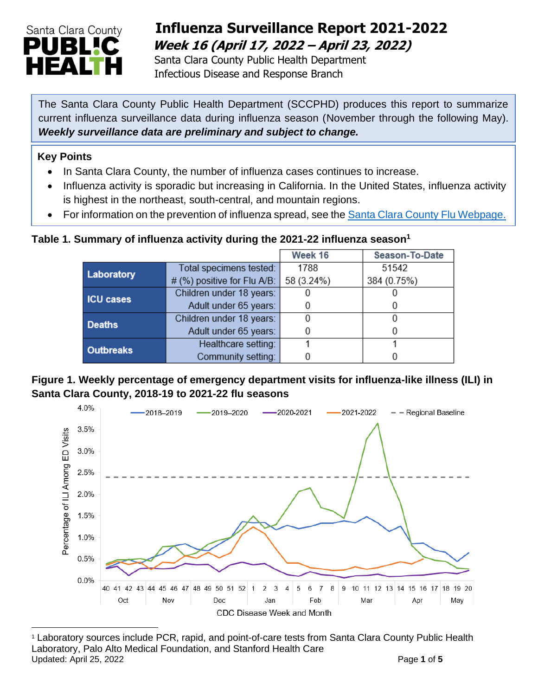

## **Influenza Surveillance Report 2021-2022 Week 16 (April 17, 2022 – April 23, 2022)**

 Santa Clara County Public Health Department Infectious Disease and Response Branch

The Santa Clara County Public Health Department (SCCPHD) produces this report to summarize current influenza surveillance data during influenza season (November through the following May). *Weekly surveillance data are preliminary and subject to change.*

#### **Key Points**

- In Santa Clara County, the number of influenza cases continues to increase.
- Influenza activity is sporadic but increasing in California. In the United States, influenza activity is highest in the northeast, south-central, and mountain regions.
- For information on the prevention of influenza spread, see the [Santa Clara County Flu Webpage.](https://publichealth.sccgov.org/disease-information/influenza-flu)

#### **Table 1. Summary of influenza activity during the 2021-22 influenza season<sup>1</sup>**

|                  |                             | Week 16    | Season-To-Date |  |
|------------------|-----------------------------|------------|----------------|--|
| Laboratory       | Total specimens tested:     | 1788       | 51542          |  |
|                  | # (%) positive for Flu A/B: | 58 (3.24%) | 384 (0.75%)    |  |
| <b>ICU cases</b> | Children under 18 years:    |            |                |  |
|                  | Adult under 65 years:       |            |                |  |
| <b>Deaths</b>    | Children under 18 years:    |            |                |  |
|                  | Adult under 65 years:       |            |                |  |
| <b>Outbreaks</b> | Healthcare setting:         |            |                |  |
|                  | Community setting:          |            |                |  |

#### **Figure 1. Weekly percentage of emergency department visits for influenza-like illness (ILI) in Santa Clara County, 2018-19 to 2021-22 flu seasons**



<sup>1</sup> Laboratory sources include PCR, rapid, and point-of-care tests from Santa Clara County Public Health Laboratory, Palo Alto Medical Foundation, and Stanford Health Care Updated: April 25, 2022 **Page 1** of 5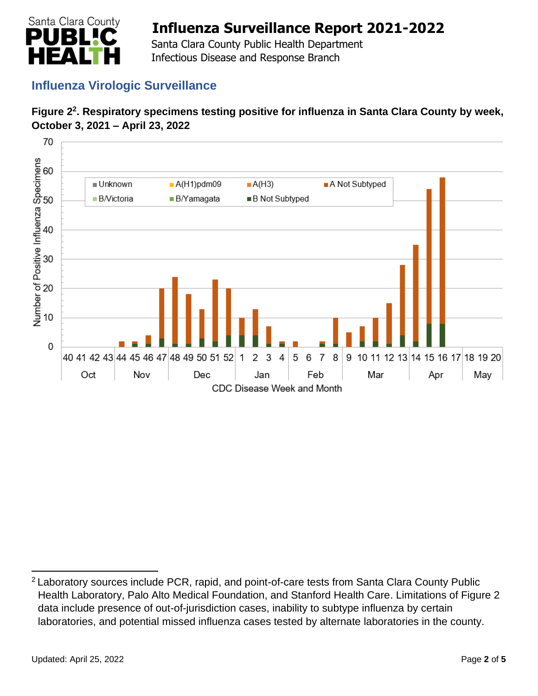

 Santa Clara County Public Health Department Infectious Disease and Response Branch

## **Influenza Virologic Surveillance**





<sup>&</sup>lt;sup>2</sup> Laboratory sources include PCR, rapid, and point-of-care tests from Santa Clara County Public Health Laboratory, Palo Alto Medical Foundation, and Stanford Health Care. Limitations of Figure 2 data include presence of out-of-jurisdiction cases, inability to subtype influenza by certain laboratories, and potential missed influenza cases tested by alternate laboratories in the county.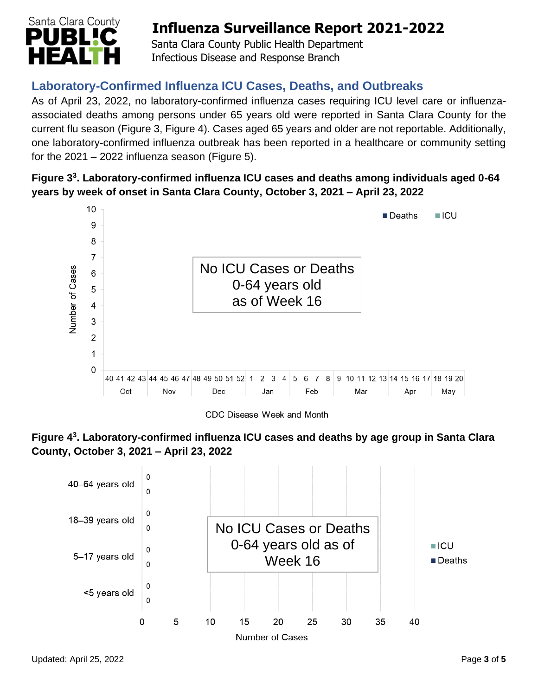

 Santa Clara County Public Health Department Infectious Disease and Response Branch

## **Laboratory-Confirmed Influenza ICU Cases, Deaths, and Outbreaks**

As of April 23, 2022, no laboratory-confirmed influenza cases requiring ICU level care or influenzaassociated deaths among persons under 65 years old were reported in Santa Clara County for the current flu season (Figure 3, Figure 4). Cases aged 65 years and older are not reportable. Additionally, one laboratory-confirmed influenza outbreak has been reported in a healthcare or community setting for the  $2021 - 2022$  influenza season (Figure 5).

#### **Figure 3 3 . Laboratory-confirmed influenza ICU cases and deaths among individuals aged 0-64 years by week of onset in Santa Clara County, October 3, 2021 – April 23, 2022**



CDC Disease Week and Month



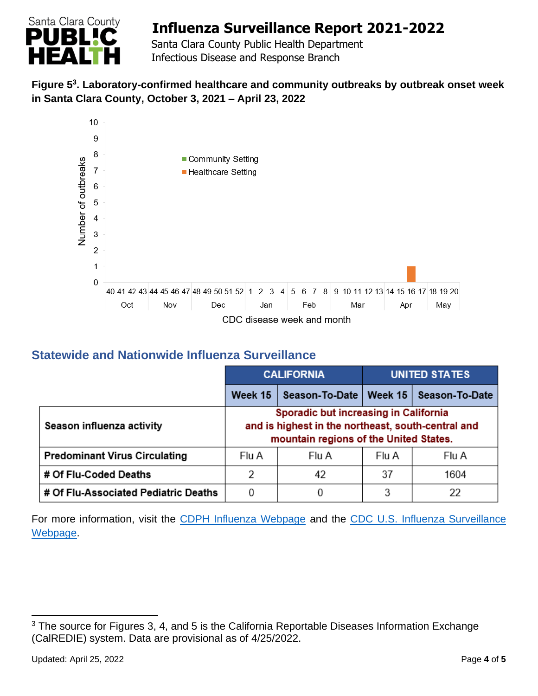

 Santa Clara County Public Health Department Infectious Disease and Response Branch

#### **Figure 5 3 . Laboratory-confirmed healthcare and community outbreaks by outbreak onset week in Santa Clara County, October 3, 2021 – April 23, 2022**



### **Statewide and Nationwide Influenza Surveillance**

|                                      | <b>CALIFORNIA</b>                                                                                                                     |       | <b>UNITED STATES</b> |                                           |
|--------------------------------------|---------------------------------------------------------------------------------------------------------------------------------------|-------|----------------------|-------------------------------------------|
|                                      | Week 15                                                                                                                               |       |                      | Season-To-Date   Week 15   Season-To-Date |
| Season influenza activity            | Sporadic but increasing in California<br>and is highest in the northeast, south-central and<br>mountain regions of the United States. |       |                      |                                           |
| <b>Predominant Virus Circulating</b> | Flu A                                                                                                                                 | Flu A | Flu A                | Flu A                                     |
| # Of Flu-Coded Deaths                | 2                                                                                                                                     | 42    | 37                   | 1604                                      |
| # Of Flu-Associated Pediatric Deaths | 0                                                                                                                                     | 0     | 3                    | 22                                        |

For more information, visit the [CDPH Influenza Webpage](http://www.cdph.ca.gov/Programs/CID/DCDC/Pages/Immunization/Influenza.aspx) and the CDC U.S. Influenza Surveillance [Webpage.](http://www.cdc.gov/flu/weekly/)

<sup>&</sup>lt;sup>3</sup> The source for Figures 3, 4, and 5 is the California Reportable Diseases Information Exchange (CalREDIE) system. Data are provisional as of 4/25/2022.